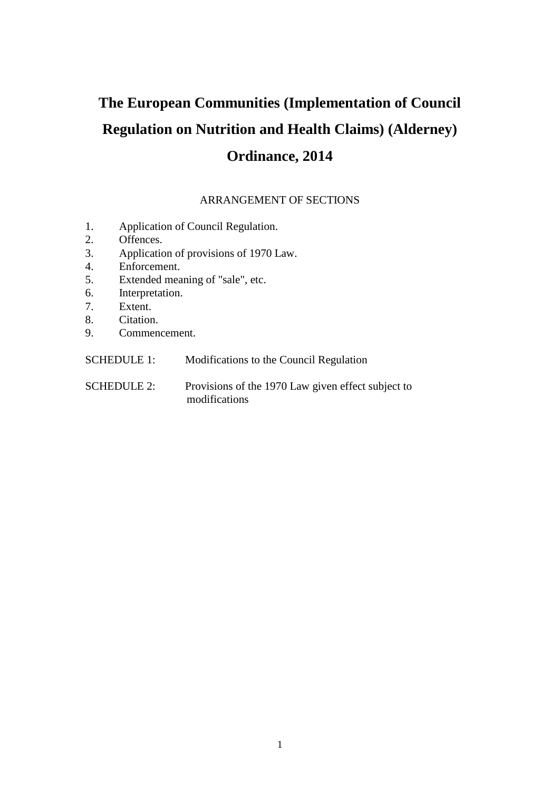# **The European Communities (Implementation of Council Regulation on Nutrition and Health Claims) (Alderney) Ordinance, 2014**

### ARRANGEMENT OF SECTIONS

- 1. Application of Council Regulation.
- 2. Offences.
- 3. Application of provisions of 1970 Law.
- 4. Enforcement.
- 5. Extended meaning of "sale", etc.
- 6. Interpretation.
- 7. Extent.
- 8. Citation.
- 9. Commencement.

### SCHEDULE 1: Modifications to the Council Regulation

SCHEDULE 2: Provisions of the 1970 Law given effect subject to modifications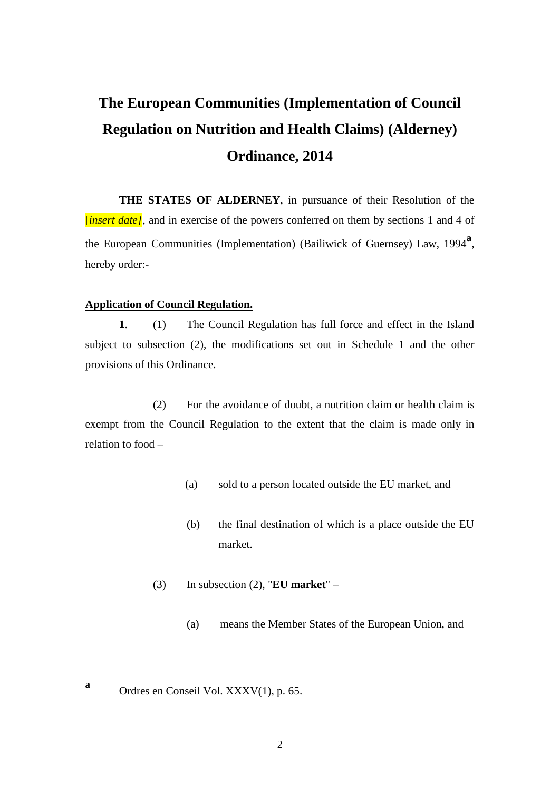## **The European Communities (Implementation of Council Regulation on Nutrition and Health Claims) (Alderney) Ordinance, 2014**

**THE STATES OF ALDERNEY**, in pursuance of their Resolution of the *linsert date]*, and in exercise of the powers conferred on them by sections 1 and 4 of the European Communities (Implementation) (Bailiwick of Guernsey) Law, 1994**<sup>a</sup>** , hereby order:-

### **Application of Council Regulation.**

**1**. (1) The Council Regulation has full force and effect in the Island subject to subsection (2), the modifications set out in Schedule 1 and the other provisions of this Ordinance.

(2) For the avoidance of doubt, a nutrition claim or health claim is exempt from the Council Regulation to the extent that the claim is made only in relation to food –

- (a) sold to a person located outside the EU market, and
- (b) the final destination of which is a place outside the EU market.
- (3) In subsection (2), "**EU market**"
	- (a) means the Member States of the European Union, and

**a**

Ordres en Conseil Vol. XXXV(1), p. 65.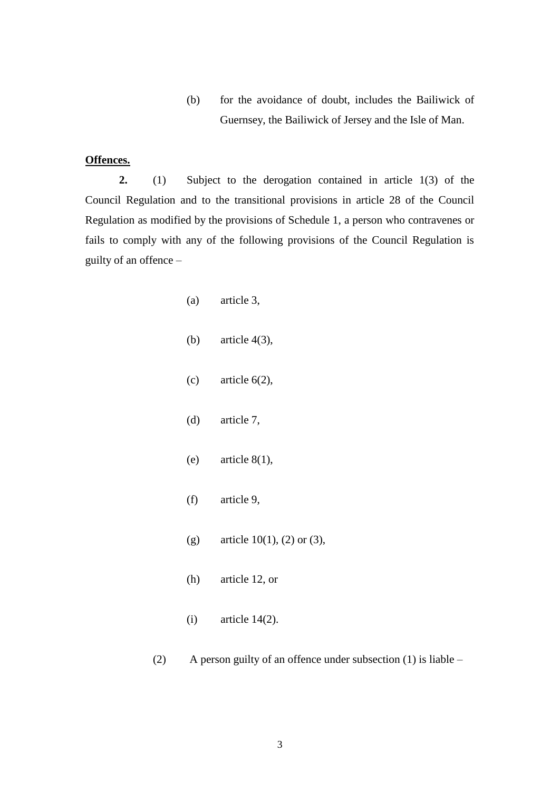(b) for the avoidance of doubt, includes the Bailiwick of Guernsey, the Bailiwick of Jersey and the Isle of Man.

#### **Offences.**

**2.** (1) Subject to the derogation contained in article 1(3) of the Council Regulation and to the transitional provisions in article 28 of the Council Regulation as modified by the provisions of Schedule 1, a person who contravenes or fails to comply with any of the following provisions of the Council Regulation is guilty of an offence –

- (a) article 3,
- (b) article 4(3),
- (c) article  $6(2)$ ,
- (d) article 7,
- (e) article  $8(1)$ ,
- (f) article 9,
- (g) article 10(1), (2) or (3),
- (h) article 12, or
- (i) article 14(2).
- (2) A person guilty of an offence under subsection (1) is liable –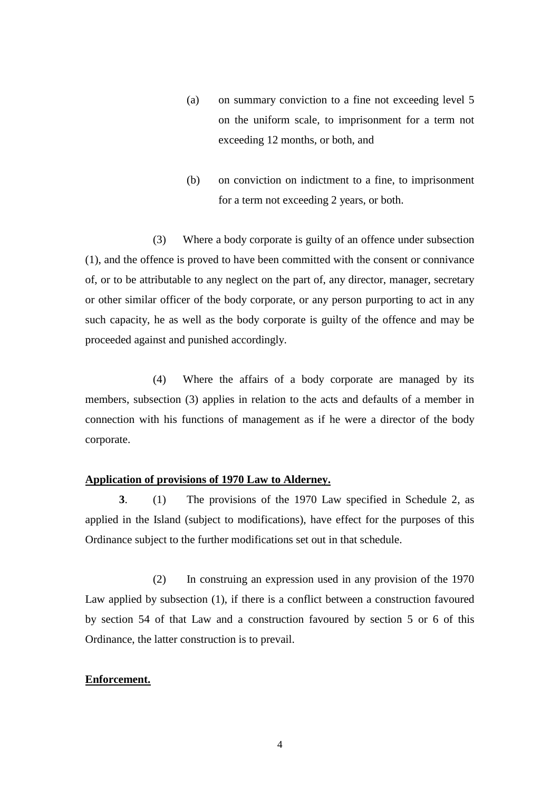- (a) on summary conviction to a fine not exceeding level 5 on the uniform scale, to imprisonment for a term not exceeding 12 months, or both, and
- (b) on conviction on indictment to a fine, to imprisonment for a term not exceeding 2 years, or both.

(3) Where a body corporate is guilty of an offence under subsection (1), and the offence is proved to have been committed with the consent or connivance of, or to be attributable to any neglect on the part of, any director, manager, secretary or other similar officer of the body corporate, or any person purporting to act in any such capacity, he as well as the body corporate is guilty of the offence and may be proceeded against and punished accordingly.

(4) Where the affairs of a body corporate are managed by its members, subsection (3) applies in relation to the acts and defaults of a member in connection with his functions of management as if he were a director of the body corporate.

#### **Application of provisions of 1970 Law to Alderney.**

**3**. (1) The provisions of the 1970 Law specified in Schedule 2, as applied in the Island (subject to modifications), have effect for the purposes of this Ordinance subject to the further modifications set out in that schedule.

(2) In construing an expression used in any provision of the 1970 Law applied by subsection (1), if there is a conflict between a construction favoured by section 54 of that Law and a construction favoured by section 5 or 6 of this Ordinance, the latter construction is to prevail.

#### **Enforcement.**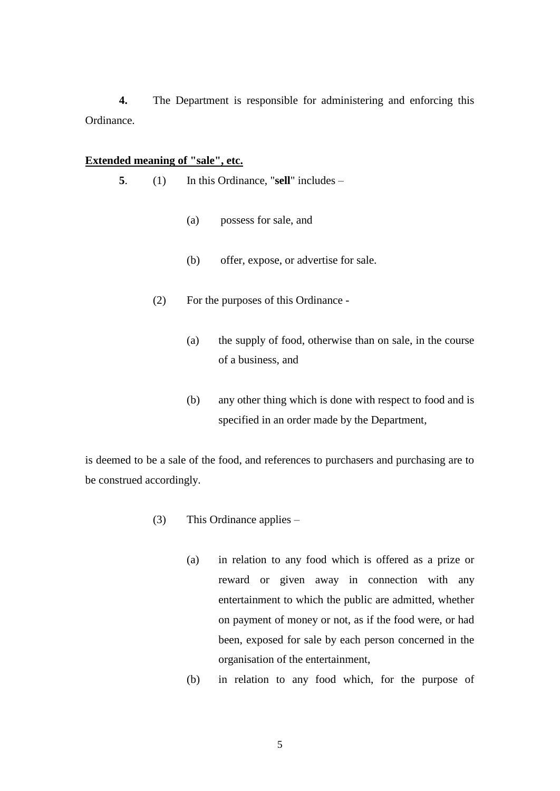**4.** The Department is responsible for administering and enforcing this Ordinance.

#### **Extended meaning of "sale", etc.**

- **5**. (1) In this Ordinance, "**sell**" includes
	- (a) possess for sale, and
	- (b) offer, expose, or advertise for sale.
	- (2) For the purposes of this Ordinance
		- (a) the supply of food, otherwise than on sale, in the course of a business, and
		- (b) any other thing which is done with respect to food and is specified in an order made by the Department,

is deemed to be a sale of the food, and references to purchasers and purchasing are to be construed accordingly.

- (3) This Ordinance applies
	- (a) in relation to any food which is offered as a prize or reward or given away in connection with any entertainment to which the public are admitted, whether on payment of money or not, as if the food were, or had been, exposed for sale by each person concerned in the organisation of the entertainment,
	- (b) in relation to any food which, for the purpose of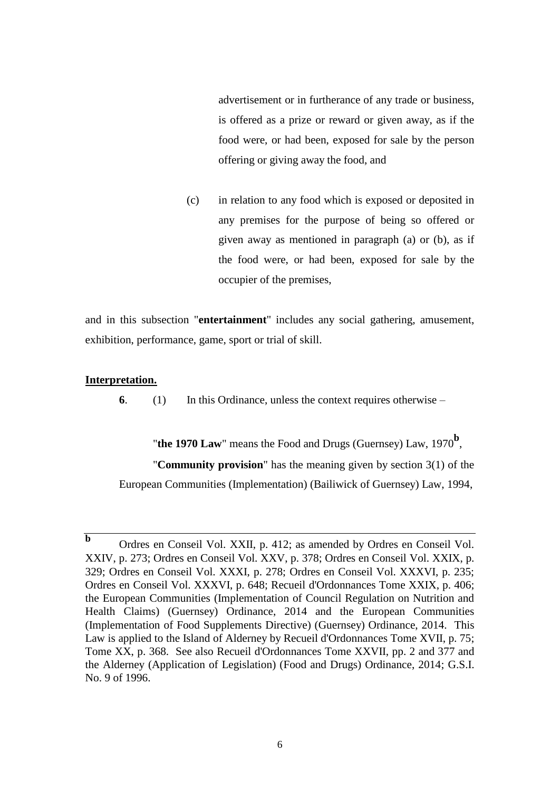advertisement or in furtherance of any trade or business, is offered as a prize or reward or given away, as if the food were, or had been, exposed for sale by the person offering or giving away the food, and

(c) in relation to any food which is exposed or deposited in any premises for the purpose of being so offered or given away as mentioned in paragraph (a) or (b), as if the food were, or had been, exposed for sale by the occupier of the premises,

and in this subsection "**entertainment**" includes any social gathering, amusement, exhibition, performance, game, sport or trial of skill.

### **Interpretation.**

**6**. (1) In this Ordinance, unless the context requires otherwise –

"**the 1970 Law**" means the Food and Drugs (Guernsey) Law, 1970**<sup>b</sup>** ,

"**Community provision**" has the meaning given by section 3(1) of the European Communities (Implementation) (Bailiwick of Guernsey) Law, 1994,

**b** Ordres en Conseil Vol. XXII, p. 412; as amended by Ordres en Conseil Vol. XXIV, p. 273; Ordres en Conseil Vol. XXV, p. 378; Ordres en Conseil Vol. XXIX, p. 329; Ordres en Conseil Vol. XXXI, p. 278; Ordres en Conseil Vol. XXXVI, p. 235; Ordres en Conseil Vol. XXXVI, p. 648; Recueil d'Ordonnances Tome XXIX, p. 406; the European Communities (Implementation of Council Regulation on Nutrition and Health Claims) (Guernsey) Ordinance, 2014 and the European Communities (Implementation of Food Supplements Directive) (Guernsey) Ordinance, 2014. This Law is applied to the Island of Alderney by Recueil d'Ordonnances Tome XVII, p. 75; Tome XX, p. 368. See also Recueil d'Ordonnances Tome XXVII, pp. 2 and 377 and the Alderney (Application of Legislation) (Food and Drugs) Ordinance, 2014; G.S.I. No. 9 of 1996.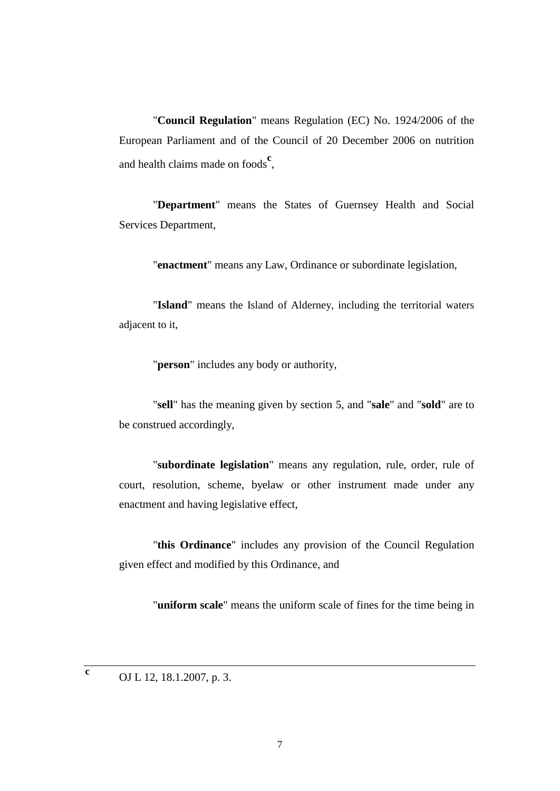"**Council Regulation**" means Regulation (EC) No. 1924/2006 of the European Parliament and of the Council of 20 December 2006 on nutrition and health claims made on foods**<sup>c</sup>** ,

"**Department**" means the States of Guernsey Health and Social Services Department,

"**enactment**" means any Law, Ordinance or subordinate legislation,

"**Island**" means the Island of Alderney, including the territorial waters adjacent to it,

"**person**" includes any body or authority,

"**sell**" has the meaning given by section 5, and "**sale**" and "**sold**" are to be construed accordingly,

"**subordinate legislation**" means any regulation, rule, order, rule of court, resolution, scheme, byelaw or other instrument made under any enactment and having legislative effect,

"**this Ordinance**" includes any provision of the Council Regulation given effect and modified by this Ordinance, and

"**uniform scale**" means the uniform scale of fines for the time being in

OJ L 12, 18.1.2007, p. 3.

**c**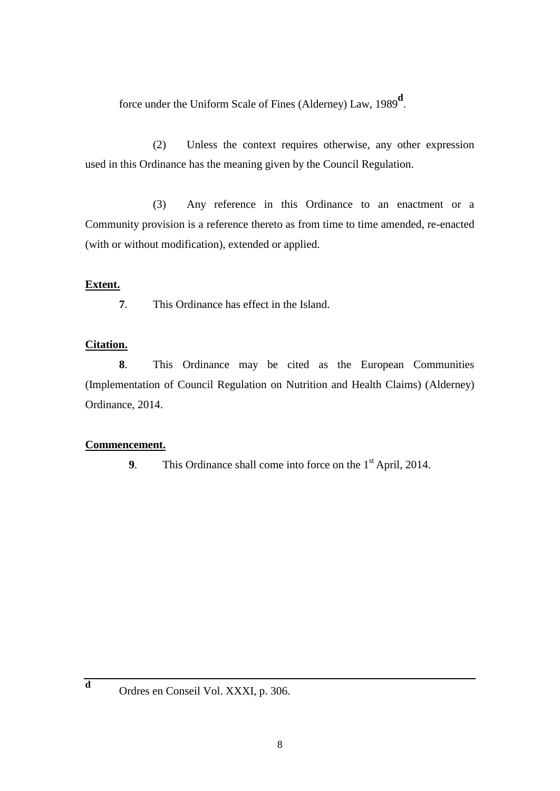force under the Uniform Scale of Fines (Alderney) Law, <sup>1989</sup>**<sup>d</sup>** .

(2) Unless the context requires otherwise, any other expression used in this Ordinance has the meaning given by the Council Regulation.

(3) Any reference in this Ordinance to an enactment or a Community provision is a reference thereto as from time to time amended, re-enacted (with or without modification), extended or applied.

## **Extent.**

**7**. This Ordinance has effect in the Island.

## **Citation.**

**8**. This Ordinance may be cited as the European Communities (Implementation of Council Regulation on Nutrition and Health Claims) (Alderney) Ordinance, 2014.

## **Commencement.**

**9**. This Ordinance shall come into force on the 1<sup>st</sup> April, 2014.

Ordres en Conseil Vol. XXXI, p. 306.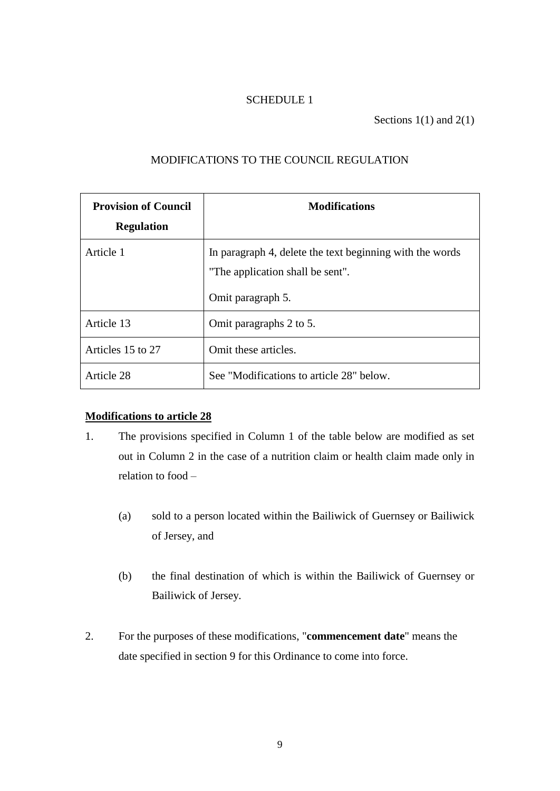## SCHEDULE 1

Sections  $1(1)$  and  $2(1)$ 

| <b>Provision of Council</b><br><b>Regulation</b> | <b>Modifications</b>                                                                                              |
|--------------------------------------------------|-------------------------------------------------------------------------------------------------------------------|
| Article 1                                        | In paragraph 4, delete the text beginning with the words<br>"The application shall be sent".<br>Omit paragraph 5. |
| Article 13                                       | Omit paragraphs 2 to 5.                                                                                           |
| Articles 15 to 27                                | Omit these articles.                                                                                              |
| Article 28                                       | See "Modifications to article 28" below.                                                                          |

## MODIFICATIONS TO THE COUNCIL REGULATION

## **Modifications to article 28**

- 1. The provisions specified in Column 1 of the table below are modified as set out in Column 2 in the case of a nutrition claim or health claim made only in relation to food –
	- (a) sold to a person located within the Bailiwick of Guernsey or Bailiwick of Jersey, and
	- (b) the final destination of which is within the Bailiwick of Guernsey or Bailiwick of Jersey.
- 2. For the purposes of these modifications, "**commencement date**" means the date specified in section 9 for this Ordinance to come into force.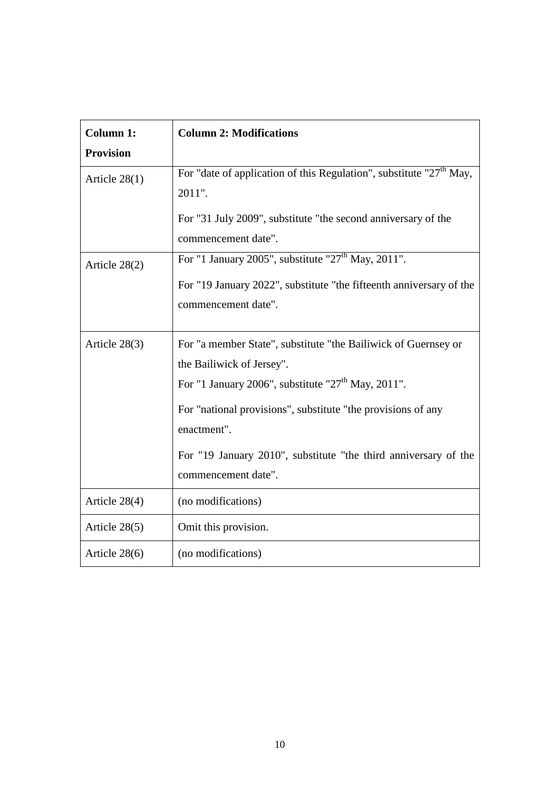| <b>Column 1:</b> | <b>Column 2: Modifications</b>                                         |
|------------------|------------------------------------------------------------------------|
| <b>Provision</b> |                                                                        |
| Article $28(1)$  | For "date of application of this Regulation", substitute " $27th$ May, |
|                  | 2011".                                                                 |
|                  | For "31 July 2009", substitute "the second anniversary of the          |
|                  | commencement date".                                                    |
| Article 28(2)    | For "1 January 2005", substitute " $27^{th}$ May, 2011".               |
|                  | For "19 January 2022", substitute "the fifteenth anniversary of the    |
|                  | commencement date".                                                    |
|                  |                                                                        |
| Article $28(3)$  | For "a member State", substitute "the Bailiwick of Guernsey or         |
|                  | the Bailiwick of Jersey".                                              |
|                  | For "1 January 2006", substitute " $27th$ May, 2011".                  |
|                  | For "national provisions", substitute "the provisions of any           |
|                  | enactment".                                                            |
|                  | For "19 January 2010", substitute "the third anniversary of the        |
|                  | commencement date".                                                    |
| Article 28(4)    | (no modifications)                                                     |
| Article 28(5)    | Omit this provision.                                                   |
| Article $28(6)$  | (no modifications)                                                     |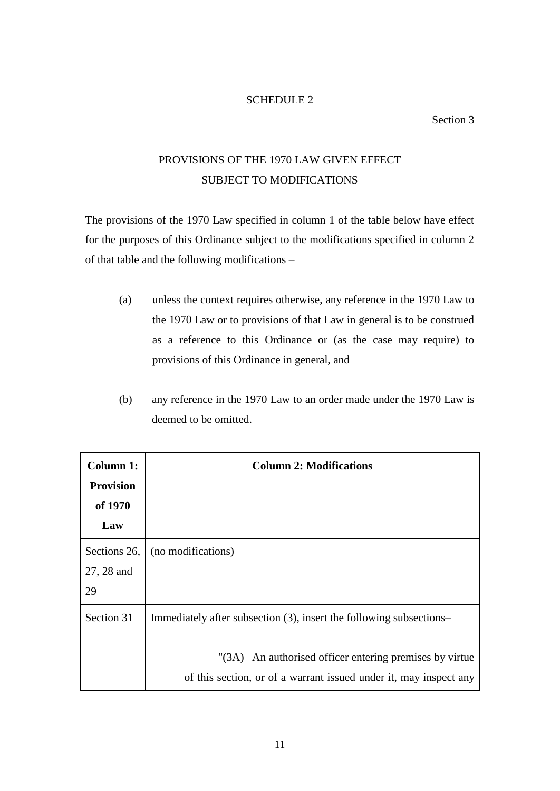## SCHEDULE 2

#### Section 3

## PROVISIONS OF THE 1970 LAW GIVEN EFFECT SUBJECT TO MODIFICATIONS

The provisions of the 1970 Law specified in column 1 of the table below have effect for the purposes of this Ordinance subject to the modifications specified in column 2 of that table and the following modifications –

- (a) unless the context requires otherwise, any reference in the 1970 Law to the 1970 Law or to provisions of that Law in general is to be construed as a reference to this Ordinance or (as the case may require) to provisions of this Ordinance in general, and
- (b) any reference in the 1970 Law to an order made under the 1970 Law is deemed to be omitted.

| Column 1:        | <b>Column 2: Modifications</b>                                      |
|------------------|---------------------------------------------------------------------|
| <b>Provision</b> |                                                                     |
| of 1970          |                                                                     |
| Law              |                                                                     |
| Sections 26,     | (no modifications)                                                  |
| 27, 28 and       |                                                                     |
| 29               |                                                                     |
| Section 31       | Immediately after subsection (3), insert the following subsections- |
|                  |                                                                     |
|                  | "(3A) An authorised officer entering premises by virtue             |
|                  | of this section, or of a warrant issued under it, may inspect any   |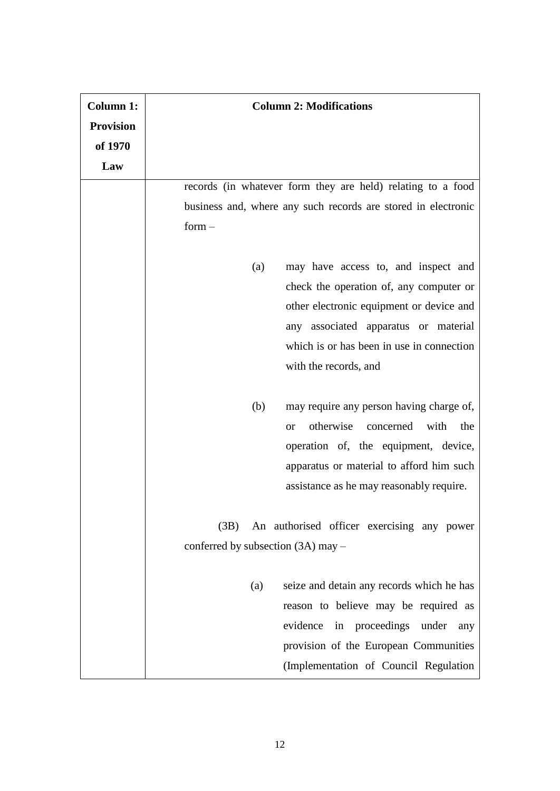| <b>Column 1:</b> | <b>Column 2: Modifications</b>                                |
|------------------|---------------------------------------------------------------|
| <b>Provision</b> |                                                               |
| of 1970          |                                                               |
| Law              |                                                               |
|                  | records (in whatever form they are held) relating to a food   |
|                  | business and, where any such records are stored in electronic |
|                  | $form -$                                                      |
|                  |                                                               |
|                  | may have access to, and inspect and<br>(a)                    |
|                  | check the operation of, any computer or                       |
|                  | other electronic equipment or device and                      |
|                  | any associated apparatus or material                          |
|                  | which is or has been in use in connection                     |
|                  | with the records, and                                         |
|                  |                                                               |
|                  | (b)<br>may require any person having charge of,               |
|                  | otherwise<br>concerned with<br>the<br><sub>or</sub>           |
|                  | operation of, the equipment, device,                          |
|                  | apparatus or material to afford him such                      |
|                  | assistance as he may reasonably require.                      |
|                  |                                                               |
|                  | An authorised officer exercising any power<br>(3B)            |
|                  | conferred by subsection $(3A)$ may –                          |
|                  |                                                               |
|                  | seize and detain any records which he has<br>(a)              |
|                  | reason to believe may be required as                          |
|                  | evidence<br>in proceedings<br>under<br>any                    |
|                  | provision of the European Communities                         |
|                  | (Implementation of Council Regulation                         |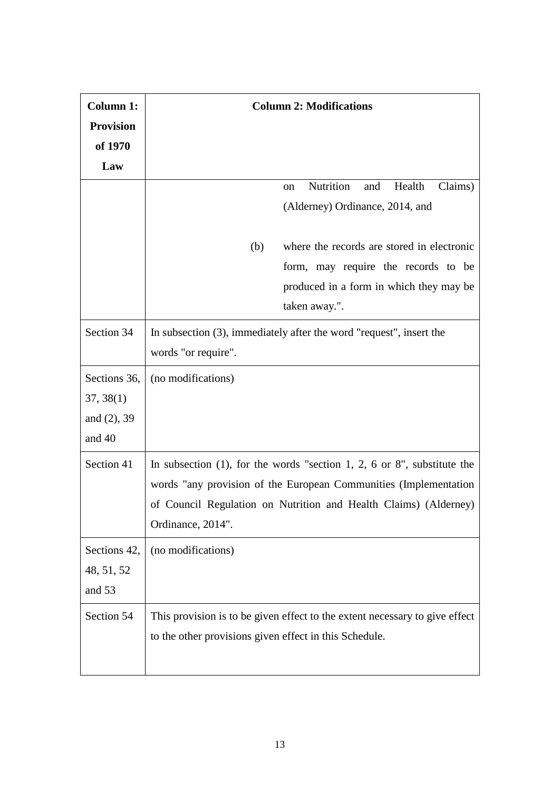| <b>Column 1:</b> | <b>Column 2: Modifications</b>                                              |
|------------------|-----------------------------------------------------------------------------|
| <b>Provision</b> |                                                                             |
| of 1970          |                                                                             |
| Law              |                                                                             |
|                  | Nutrition<br>Health<br>Claims)<br>and<br>on                                 |
|                  | (Alderney) Ordinance, 2014, and                                             |
|                  |                                                                             |
|                  | where the records are stored in electronic<br>(b)                           |
|                  | form, may require the records to be                                         |
|                  | produced in a form in which they may be                                     |
|                  | taken away.".                                                               |
| Section 34       | In subsection $(3)$ , immediately after the word "request", insert the      |
|                  | words "or require".                                                         |
| Sections 36,     | (no modifications)                                                          |
| 37, 38(1)        |                                                                             |
| and $(2)$ , 39   |                                                                             |
| and 40           |                                                                             |
| Section 41       | In subsection $(1)$ , for the words "section 1, 2, 6 or 8", substitute the  |
|                  | words "any provision of the European Communities (Implementation            |
|                  | of Council Regulation on Nutrition and Health Claims) (Alderney)            |
|                  | Ordinance, 2014".                                                           |
| Sections 42,     | (no modifications)                                                          |
| 48, 51, 52       |                                                                             |
| and 53           |                                                                             |
| Section 54       | This provision is to be given effect to the extent necessary to give effect |
|                  | to the other provisions given effect in this Schedule.                      |
|                  |                                                                             |